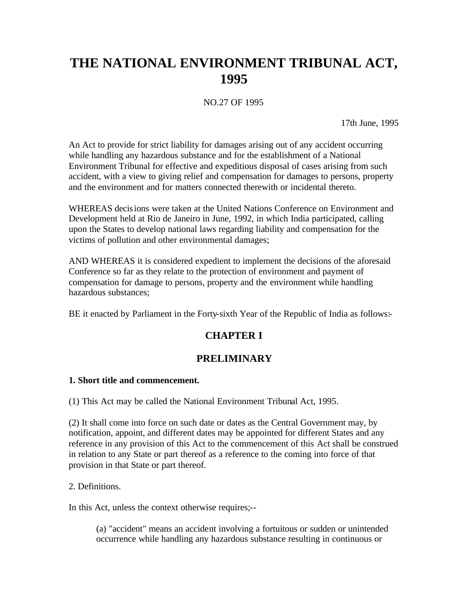# **THE NATIONAL ENVIRONMENT TRIBUNAL ACT, 1995**

NO.27 OF 1995

17th June, 1995

An Act to provide for strict liability for damages arising out of any accident occurring while handling any hazardous substance and for the establishment of a National Environment Tribunal for effective and expeditious disposal of cases arising from such accident, with a view to giving relief and compensation for damages to persons, property and the environment and for matters connected therewith or incidental thereto.

WHEREAS decisions were taken at the United Nations Conference on Environment and Development held at Rio de Janeiro in June, 1992, in which India participated, calling upon the States to develop national laws regarding liability and compensation for the victims of pollution and other environmental damages;

AND WHEREAS it is considered expedient to implement the decisions of the aforesaid Conference so far as they relate to the protection of environment and payment of compensation for damage to persons, property and the environment while handling hazardous substances;

BE it enacted by Parliament in the Forty-sixth Year of the Republic of India as follows:-

# **CHAPTER I**

# **PRELIMINARY**

#### **1. Short title and commencement.**

(1) This Act may be called the National Environment Tribunal Act, 1995.

(2) It shall come into force on such date or dates as the Central Government may, by notification, appoint, and different dates may be appointed for different States and any reference in any provision of this Act to the commencement of this Act shall be construed in relation to any State or part thereof as a reference to the coming into force of that provision in that State or part thereof.

#### 2. Definitions.

In this Act, unless the context otherwise requires;--

(a) "accident" means an accident involving a fortuitous or sudden or unintended occurrence while handling any hazardous substance resulting in continuous or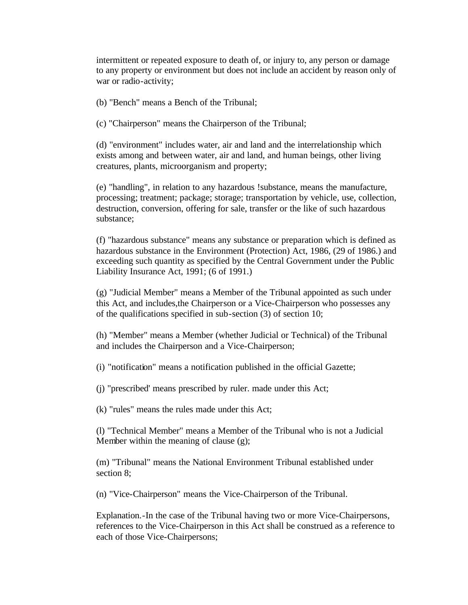intermittent or repeated exposure to death of, or injury to, any person or damage to any property or environment but does not include an accident by reason only of war or radio-activity;

(b) "Bench" means a Bench of the Tribunal;

(c) "Chairperson" means the Chairperson of the Tribunal;

(d) "environment" includes water, air and land and the interrelationship which exists among and between water, air and land, and human beings, other living creatures, plants, microorganism and property;

(e) "handling", in relation to any hazardous !substance, means the manufacture, processing; treatment; package; storage; transportation by vehicle, use, collection, destruction, conversion, offering for sale, transfer or the like of such hazardous substance;

(f) "hazardous substance" means any substance or preparation which is defined as hazardous substance in the Environment (Protection) Act, 1986, (29 of 1986.) and exceeding such quantity as specified by the Central Government under the Public Liability Insurance Act, 1991; (6 of 1991.)

(g) "Judicial Member" means a Member of the Tribunal appointed as such under this Act, and includes,the Chairperson or a Vice-Chairperson who possesses any of the qualifications specified in sub-section (3) of section 10;

(h) "Member" means a Member (whether Judicial or Technical) of the Tribunal and includes the Chairperson and a Vice-Chairperson;

(i) "notification" means a notification published in the official Gazette;

(j) "prescribed' means prescribed by ruler. made under this Act;

(k) "rules" means the rules made under this Act;

(l) "Technical Member" means a Member of the Tribunal who is not a Judicial Member within the meaning of clause (g);

(m) "Tribunal" means the National Environment Tribunal established under section 8;

(n) "Vice-Chairperson" means the Vice-Chairperson of the Tribunal.

Explanation.-In the case of the Tribunal having two or more Vice-Chairpersons, references to the Vice-Chairperson in this Act shall be construed as a reference to each of those Vice-Chairpersons;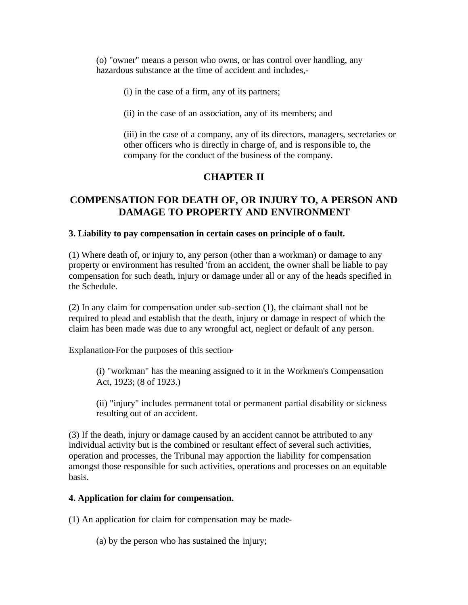(o) "owner" means a person who owns, or has control over handling, any hazardous substance at the time of accident and includes,-

(i) in the case of a firm, any of its partners;

(ii) in the case of an association, any of its members; and

(iii) in the case of a company, any of its directors, managers, secretaries or other officers who is directly in charge of, and is responsible to, the company for the conduct of the business of the company.

# **CHAPTER II**

# **COMPENSATION FOR DEATH OF, OR INJURY TO, A PERSON AND DAMAGE TO PROPERTY AND ENVIRONMENT**

#### **3. Liability to pay compensation in certain cases on principle of o fault.**

(1) Where death of, or injury to, any person (other than a workman) or damage to any property or environment has resulted 'from an accident, the owner shall be liable to pay compensation for such death, injury or damage under all or any of the heads specified in the Schedule.

(2) In any claim for compensation under sub-section (1), the claimant shall not be required to plead and establish that the death, injury or damage in respect of which the claim has been made was due to any wrongful act, neglect or default of any person.

Explanation-For the purposes of this section-

(i) "workman" has the meaning assigned to it in the Workmen's Compensation Act, 1923; (8 of 1923.)

(ii) "injury" includes permanent total or permanent partial disability or sickness resulting out of an accident.

(3) If the death, injury or damage caused by an accident cannot be attributed to any individual activity but is the combined or resultant effect of several such activities, operation and processes, the Tribunal may apportion the liability for compensation amongst those responsible for such activities, operations and processes on an equitable basis.

#### **4. Application for claim for compensation.**

(1) An application for claim for compensation may be made-

(a) by the person who has sustained the injury;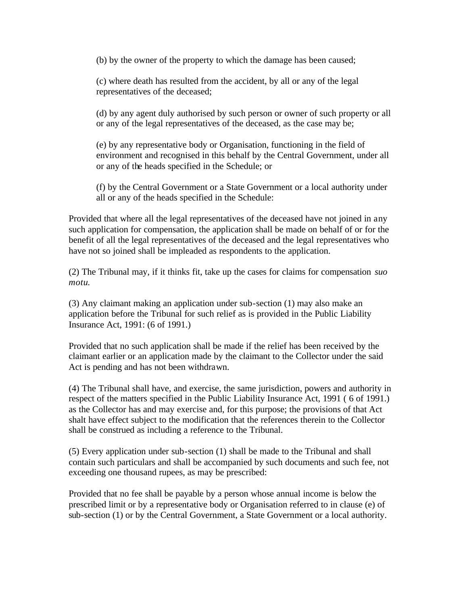(b) by the owner of the property to which the damage has been caused;

(c) where death has resulted from the accident, by all or any of the legal representatives of the deceased;

(d) by any agent duly authorised by such person or owner of such property or all or any of the legal representatives of the deceased, as the case may be;

(e) by any representative body or Organisation, functioning in the field of environment and recognised in this behalf by the Central Government, under all or any of the heads specified in the Schedule; or

(f) by the Central Government or a State Government or a local authority under all or any of the heads specified in the Schedule:

Provided that where all the legal representatives of the deceased have not joined in any such application for compensation, the application shall be made on behalf of or for the benefit of all the legal representatives of the deceased and the legal representatives who have not so joined shall be impleaded as respondents to the application.

(2) The Tribunal may, if it thinks fit, take up the cases for claims for compensation *suo motu*.

(3) Any claimant making an application under sub-section (1) may also make an application before the Tribunal for such relief as is provided in the Public Liability Insurance Act, 1991: (6 of 1991.)

Provided that no such application shall be made if the relief has been received by the claimant earlier or an application made by the claimant to the Collector under the said Act is pending and has not been withdrawn.

(4) The Tribunal shall have, and exercise, the same jurisdiction, powers and authority in respect of the matters specified in the Public Liability Insurance Act, 1991 ( 6 of 1991.) as the Collector has and may exercise and, for this purpose; the provisions of that Act shalt have effect subject to the modification that the references therein to the Collector shall be construed as including a reference to the Tribunal.

(5) Every application under sub-section (1) shall be made to the Tribunal and shall contain such particulars and shall be accompanied by such documents and such fee, not exceeding one thousand rupees, as may be prescribed:

Provided that no fee shall be payable by a person whose annual income is below the prescribed limit or by a representative body or Organisation referred to in clause (e) of sub-section (1) or by the Central Government, a State Government or a local authority.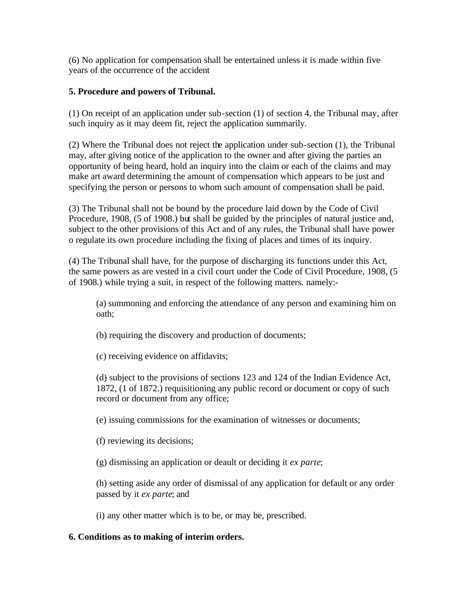(6) No application for compensation shall be entertained unless it is made within five years of the occurrence of the accident

#### **5. Procedure and powers of Tribunal.**

(1) On receipt of an application under sub-section (1) of section 4, the Tribunal may, after such inquiry as it may deem fit, reject the application summarily.

(2) Where the Tribunal does not reject the application under sub-section (1), the Tribunal may, after giving notice of the application to the owner and after giving the parties an opportunity of being heard, hold an inquiry into the claim or each of the claims and may make art award determining the amount of compensation which appears to be just and specifying the person or persons to whom such amount of compensation shall be paid.

(3) The Tribunal shall not be bound by the procedure laid down by the Code of Civil Procedure, 1908, (5 of 1908.) but shall be guided by the principles of natural justice and, subject to the other provisions of this Act and of any rules, the Tribunal shall have power o regulate its own procedure including the fixing of places and times of its inquiry.

(4) The Tribunal shall have, for the purpose of discharging its functions under this Act, the same powers as are vested in a civil court under the Code of Civil Procedure, 1908, (5 of 1908.) while trying a suit, in respect of the following matters. namely:-

(a) summoning and enforcing the attendance of any person and examining him on oath;

(b) requiring the discovery and production of documents;

(c) receiving evidence on affidavits;

(d) subject to the provisions of sections 123 and 124 of the Indian Evidence Act, 1872, (1 of 1872.) requisitioning any public record or document or copy of such record or document from any office;

(e) issuing commissions for the examination of witnesses or documents;

(f) reviewing its decisions;

(g) dismissing an application or deault or deciding it *ex parte*;

(h) setting aside any order of dismissal of any application for default or any order passed by it *ex parte*; and

(i) any other matter which is to be, or may be, prescribed.

#### **6. Conditions as to making of interim orders.**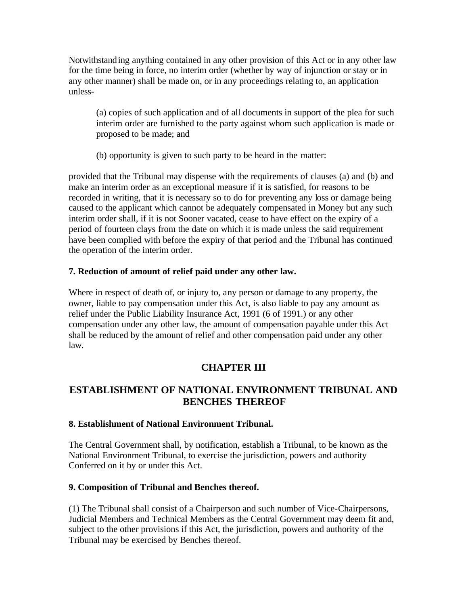Notwithstanding anything contained in any other provision of this Act or in any other law for the time being in force, no interim order (whether by way of injunction or stay or in any other manner) shall be made on, or in any proceedings relating to, an application unless-

(a) copies of such application and of all documents in support of the plea for such interim order are furnished to the party against whom such application is made or proposed to be made; and

(b) opportunity is given to such party to be heard in the matter:

provided that the Tribunal may dispense with the requirements of clauses (a) and (b) and make an interim order as an exceptional measure if it is satisfied, for reasons to be recorded in writing, that it is necessary so to do for preventing any loss or damage being caused to the applicant which cannot be adequately compensated in Money but any such interim order shall, if it is not Sooner vacated, cease to have effect on the expiry of a period of fourteen clays from the date on which it is made unless the said requirement have been complied with before the expiry of that period and the Tribunal has continued the operation of the interim order.

#### **7. Reduction of amount of relief paid under any other law.**

Where in respect of death of, or injury to, any person or damage to any property, the owner, liable to pay compensation under this Act, is also liable to pay any amount as relief under the Public Liability Insurance Act, 1991 (6 of 1991.) or any other compensation under any other law, the amount of compensation payable under this Act shall be reduced by the amount of relief and other compensation paid under any other law.

# **CHAPTER III**

# **ESTABLISHMENT OF NATIONAL ENVIRONMENT TRIBUNAL AND BENCHES THEREOF**

#### **8. Establishment of National Environment Tribunal.**

The Central Government shall, by notification, establish a Tribunal, to be known as the National Environment Tribunal, to exercise the jurisdiction, powers and authority Conferred on it by or under this Act.

#### **9. Composition of Tribunal and Benches thereof.**

(1) The Tribunal shall consist of a Chairperson and such number of Vice-Chairpersons, Judicial Members and Technical Members as the Central Government may deem fit and, subject to the other provisions if this Act, the jurisdiction, powers and authority of the Tribunal may be exercised by Benches thereof.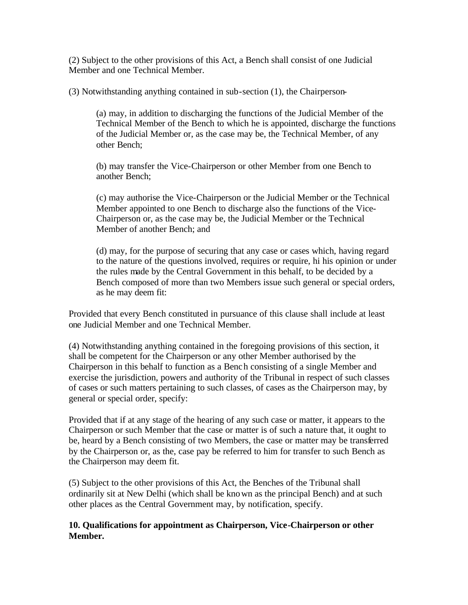(2) Subject to the other provisions of this Act, a Bench shall consist of one Judicial Member and one Technical Member.

(3) Notwithstanding anything contained in sub-section (1), the Chairperson-

(a) may, in addition to discharging the functions of the Judicial Member of the Technical Member of the Bench to which he is appointed, discharge the functions of the Judicial Member or, as the case may be, the Technical Member, of any other Bench;

(b) may transfer the Vice-Chairperson or other Member from one Bench to another Bench;

(c) may authorise the Vice-Chairperson or the Judicial Member or the Technical Member appointed to one Bench to discharge also the functions of the Vice-Chairperson or, as the case may be, the Judicial Member or the Technical Member of another Bench; and

(d) may, for the purpose of securing that any case or cases which, having regard to the nature of the questions involved, requires or require, hi his opinion or under the rules made by the Central Government in this behalf, to be decided by a Bench composed of more than two Members issue such general or special orders, as he may deem fit:

Provided that every Bench constituted in pursuance of this clause shall include at least one Judicial Member and one Technical Member.

(4) Notwithstanding anything contained in the foregoing provisions of this section, it shall be competent for the Chairperson or any other Member authorised by the Chairperson in this behalf to function as a Bench consisting of a single Member and exercise the jurisdiction, powers and authority of the Tribunal in respect of such classes of cases or such matters pertaining to such classes, of cases as the Chairperson may, by general or special order, specify:

Provided that if at any stage of the hearing of any such case or matter, it appears to the Chairperson or such Member that the case or matter is of such a nature that, it ought to be, heard by a Bench consisting of two Members, the case or matter may be transferred by the Chairperson or, as the, case pay be referred to him for transfer to such Bench as the Chairperson may deem fit.

(5) Subject to the other provisions of this Act, the Benches of the Tribunal shall ordinarily sit at New Delhi (which shall be known as the principal Bench) and at such other places as the Central Government may, by notification, specify.

#### **10. Qualifications for appointment as Chairperson, Vice-Chairperson or other Member.**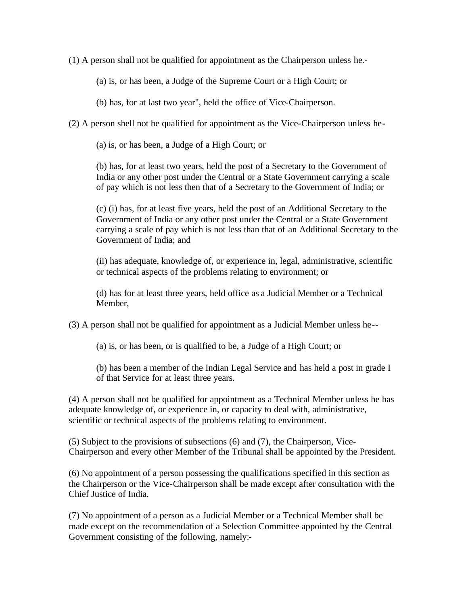(1) A person shall not be qualified for appointment as the Chairperson unless he.-

(a) is, or has been, a Judge of the Supreme Court or a High Court; or

(b) has, for at last two year", held the office of Vice-Chairperson.

(2) A person shell not be qualified for appointment as the Vice-Chairperson unless he-

(a) is, or has been, a Judge of a High Court; or

(b) has, for at least two years, held the post of a Secretary to the Government of India or any other post under the Central or a State Government carrying a scale of pay which is not less then that of a Secretary to the Government of India; or

(c) (i) has, for at least five years, held the post of an Additional Secretary to the Government of India or any other post under the Central or a State Government carrying a scale of pay which is not less than that of an Additional Secretary to the Government of India; and

(ii) has adequate, knowledge of, or experience in, legal, administrative, scientific or technical aspects of the problems relating to environment; or

(d) has for at least three years, held office as a Judicial Member or a Technical Member,

(3) A person shall not be qualified for appointment as a Judicial Member unless he--

(a) is, or has been, or is qualified to be, a Judge of a High Court; or

(b) has been a member of the Indian Legal Service and has held a post in grade I of that Service for at least three years.

(4) A person shall not be qualified for appointment as a Technical Member unless he has adequate knowledge of, or experience in, or capacity to deal with, administrative, scientific or technical aspects of the problems relating to environment.

(5) Subject to the provisions of subsections (6) and (7), the Chairperson, Vice-Chairperson and every other Member of the Tribunal shall be appointed by the President.

(6) No appointment of a person possessing the qualifications specified in this section as the Chairperson or the Vice-Chairperson shall be made except after consultation with the Chief Justice of India.

(7) No appointment of a person as a Judicial Member or a Technical Member shall be made except on the recommendation of a Selection Committee appointed by the Central Government consisting of the following, namely:-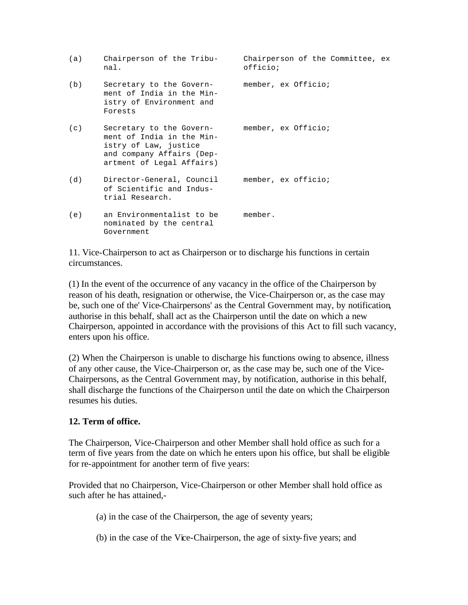| (a) | Chairperson of the Tribu-<br>nal.                                                                                                                            | Chairperson of the Committee, ex<br>officio; |
|-----|--------------------------------------------------------------------------------------------------------------------------------------------------------------|----------------------------------------------|
| (b) | Secretary to the Govern- member, ex Officio;<br>ment of India in the Min-<br>istry of Environment and<br>Forests                                             |                                              |
| (c) | Secretary to the Govern- member, ex Officio;<br>ment of India in the Min-<br>istry of Law, justice<br>and company Affairs (Dep-<br>artment of Legal Affairs) |                                              |
| (d) | Director-General, Council<br>of Scientific and Indus-<br>trial Research.                                                                                     | member, ex officio;                          |
| (e) | an Environmentalist to be<br>nominated by the central<br>Government                                                                                          | member.                                      |

11. Vice-Chairperson to act as Chairperson or to discharge his functions in certain circumstances.

(1) In the event of the occurrence of any vacancy in the office of the Chairperson by reason of his death, resignation or otherwise, the Vice-Chairperson or, as the case may be, such one of the' Vice-Chairpersons' as the Central Government may, by notification, authorise in this behalf, shall act as the Chairperson until the date on which a new Chairperson, appointed in accordance with the provisions of this Act to fill such vacancy, enters upon his office.

(2) When the Chairperson is unable to discharge his functions owing to absence, illness of any other cause, the Vice-Chairperson or, as the case may be, such one of the Vice-Chairpersons, as the Central Government may, by notification, authorise in this behalf, shall discharge the functions of the Chairperson until the date on which the Chairperson resumes his duties.

#### **12. Term of office.**

The Chairperson, Vice-Chairperson and other Member shall hold office as such for a term of five years from the date on which he enters upon his office, but shall be eligible for re-appointment for another term of five years:

Provided that no Chairperson, Vice-Chairperson or other Member shall hold office as such after he has attained,-

(a) in the case of the Chairperson, the age of seventy years;

(b) in the case of the Vice-Chairperson, the age of sixty-five years; and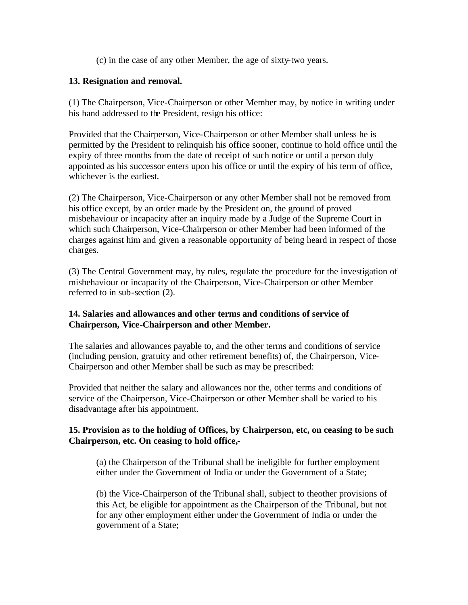(c) in the case of any other Member, the age of sixty-two years.

#### **13. Resignation and removal.**

(1) The Chairperson, Vice-Chairperson or other Member may, by notice in writing under his hand addressed to the President, resign his office:

Provided that the Chairperson, Vice-Chairperson or other Member shall unless he is permitted by the President to relinquish his office sooner, continue to hold office until the expiry of three months from the date of receipt of such notice or until a person duly appointed as his successor enters upon his office or until the expiry of his term of office, whichever is the earliest.

(2) The Chairperson, Vice-Chairperson or any other Member shall not be removed from his office except, by an order made by the President on, the ground of proved misbehaviour or incapacity after an inquiry made by a Judge of the Supreme Court in which such Chairperson, Vice-Chairperson or other Member had been informed of the charges against him and given a reasonable opportunity of being heard in respect of those charges.

(3) The Central Government may, by rules, regulate the procedure for the investigation of misbehaviour or incapacity of the Chairperson, Vice-Chairperson or other Member referred to in sub-section (2).

#### **14. Salaries and allowances and other terms and conditions of service of Chairperson, Vice-Chairperson and other Member.**

The salaries and allowances payable to, and the other terms and conditions of service (including pension, gratuity and other retirement benefits) of, the Chairperson, Vice-Chairperson and other Member shall be such as may be prescribed:

Provided that neither the salary and allowances nor the, other terms and conditions of service of the Chairperson, Vice-Chairperson or other Member shall be varied to his disadvantage after his appointment.

#### **15. Provision as to the holding of Offices, by Chairperson, etc, on ceasing to be such Chairperson, etc. On ceasing to hold office,-**

(a) the Chairperson of the Tribunal shall be ineligible for further employment either under the Government of India or under the Government of a State;

(b) the Vice-Chairperson of the Tribunal shall, subject to theother provisions of this Act, be eligible for appointment as the Chairperson of the Tribunal, but not for any other employment either under the Government of India or under the government of a State;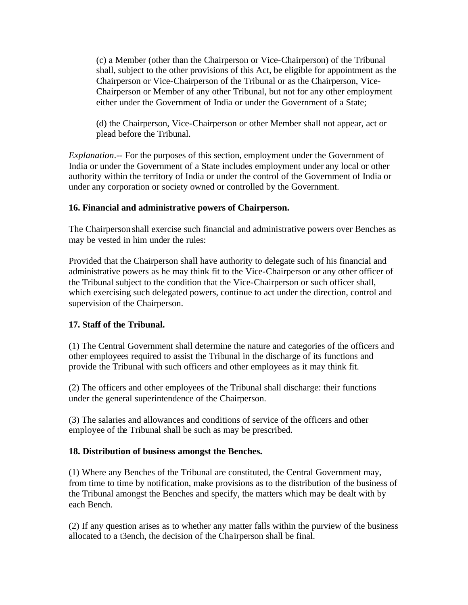(c) a Member (other than the Chairperson or Vice-Chairperson) of the Tribunal shall, subject to the other provisions of this Act, be eligible for appointment as the Chairperson or Vice-Chairperson of the Tribunal or as the Chairperson, Vice-Chairperson or Member of any other Tribunal, but not for any other employment either under the Government of India or under the Government of a State;

(d) the Chairperson, Vice-Chairperson or other Member shall not appear, act or plead before the Tribunal.

*Explanation*.-- For the purposes of this section, employment under the Government of India or under the Government of a State includes employment under any local or other authority within the territory of India or under the control of the Government of India or under any corporation or society owned or controlled by the Government.

#### **16. Financial and administrative powers of Chairperson.**

The Chairperson shall exercise such financial and administrative powers over Benches as may be vested in him under the rules:

Provided that the Chairperson shall have authority to delegate such of his financial and administrative powers as he may think fit to the Vice-Chairperson or any other officer of the Tribunal subject to the condition that the Vice-Chairperson or such officer shall, which exercising such delegated powers, continue to act under the direction, control and supervision of the Chairperson.

#### **17. Staff of the Tribunal.**

(1) The Central Government shall determine the nature and categories of the officers and other employees required to assist the Tribunal in the discharge of its functions and provide the Tribunal with such officers and other employees as it may think fit.

(2) The officers and other employees of the Tribunal shall discharge: their functions under the general superintendence of the Chairperson.

(3) The salaries and allowances and conditions of service of the officers and other employee of the Tribunal shall be such as may be prescribed.

#### **18. Distribution of business amongst the Benches.**

(1) Where any Benches of the Tribunal are constituted, the Central Government may, from time to time by notification, make provisions as to the distribution of the business of the Tribunal amongst the Benches and specify, the matters which may be dealt with by each Bench.

(2) If any question arises as to whether any matter falls within the purview of the business allocated to a t3ench, the decision of the Chairperson shall be final.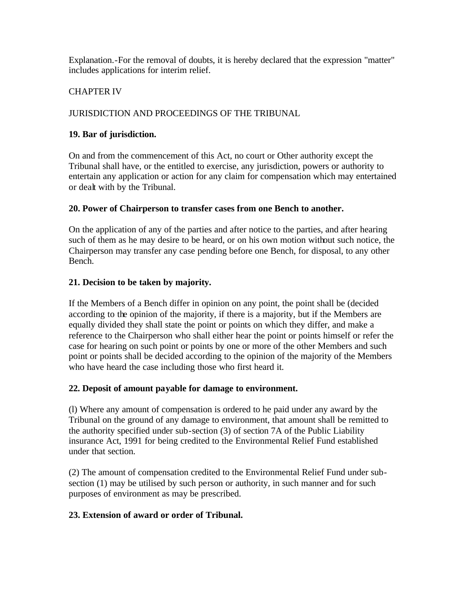Explanation.-For the removal of doubts, it is hereby declared that the expression "matter" includes applications for interim relief.

#### CHAPTER IV

# JURISDICTION AND PROCEEDINGS OF THE TRIBUNAL

#### **19. Bar of jurisdiction.**

On and from the commencement of this Act, no court or Other authority except the Tribunal shall have, or the entitled to exercise, any jurisdiction, powers or authority to entertain any application or action for any claim for compensation which may entertained or dealt with by the Tribunal.

#### **20. Power of Chairperson to transfer cases from one Bench to another.**

On the application of any of the parties and after notice to the parties, and after hearing such of them as he may desire to be heard, or on his own motion without such notice, the Chairperson may transfer any case pending before one Bench, for disposal, to any other Bench.

#### **21. Decision to be taken by majority.**

If the Members of a Bench differ in opinion on any point, the point shall be (decided according to the opinion of the majority, if there is a majority, but if the Members are equally divided they shall state the point or points on which they differ, and make a reference to the Chairperson who shall either hear the point or points himself or refer the case for hearing on such point or points by one or more of the other Members and such point or points shall be decided according to the opinion of the majority of the Members who have heard the case including those who first heard it.

#### **22. Deposit of amount payable for damage to environment.**

(l) Where any amount of compensation is ordered to he paid under any award by the Tribunal on the ground of any damage to environment, that amount shall be remitted to the authority specified under sub-section (3) of section 7A of the Public Liability insurance Act, 1991 for being credited to the Environmental Relief Fund established under that section.

(2) The amount of compensation credited to the Environmental Relief Fund under subsection (1) may be utilised by such person or authority, in such manner and for such purposes of environment as may be prescribed.

# **23. Extension of award or order of Tribunal.**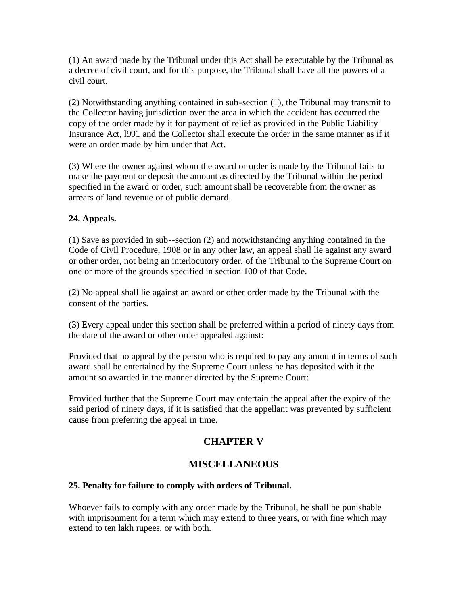(1) An award made by the Tribunal under this Act shall be executable by the Tribunal as a decree of civil court, and for this purpose, the Tribunal shall have all the powers of a civil court.

(2) Notwithstanding anything contained in sub-section (1), the Tribunal may transmit to the Collector having jurisdiction over the area in which the accident has occurred the copy of the order made by it for payment of relief as provided in the Public Liability Insurance Act, l991 and the Collector shall execute the order in the same manner as if it were an order made by him under that Act.

(3) Where the owner against whom the award or order is made by the Tribunal fails to make the payment or deposit the amount as directed by the Tribunal within the period specified in the award or order, such amount shall be recoverable from the owner as arrears of land revenue or of public demand.

#### **24. Appeals.**

(1) Save as provided in sub--section (2) and notwithstanding anything contained in the Code of Civil Procedure, 1908 or in any other law, an appeal shall lie against any award or other order, not being an interlocutory order, of the Tribunal to the Supreme Court on one or more of the grounds specified in section 100 of that Code.

(2) No appeal shall lie against an award or other order made by the Tribunal with the consent of the parties.

(3) Every appeal under this section shall be preferred within a period of ninety days from the date of the award or other order appealed against:

Provided that no appeal by the person who is required to pay any amount in terms of such award shall be entertained by the Supreme Court unless he has deposited with it the amount so awarded in the manner directed by the Supreme Court:

Provided further that the Supreme Court may entertain the appeal after the expiry of the said period of ninety days, if it is satisfied that the appellant was prevented by sufficient cause from preferring the appeal in time.

# **CHAPTER V**

# **MISCELLANEOUS**

#### **25. Penalty for failure to comply with orders of Tribunal.**

Whoever fails to comply with any order made by the Tribunal, he shall be punishable with imprisonment for a term which may extend to three years, or with fine which may extend to ten lakh rupees, or with both.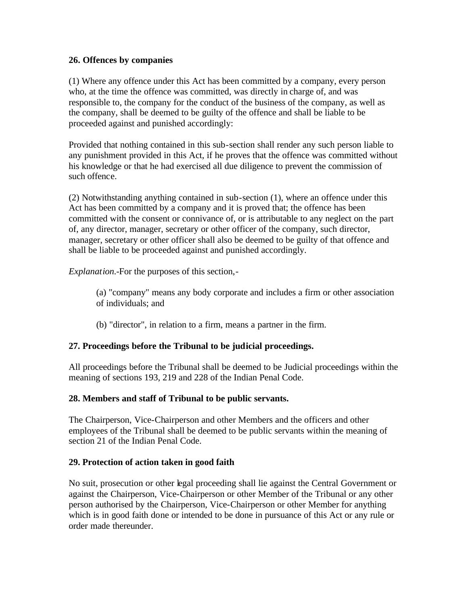#### **26. Offences by companies**

(1) Where any offence under this Act has been committed by a company, every person who, at the time the offence was committed, was directly in charge of, and was responsible to, the company for the conduct of the business of the company, as well as the company, shall be deemed to be guilty of the offence and shall be liable to be proceeded against and punished accordingly:

Provided that nothing contained in this sub-section shall render any such person liable to any punishment provided in this Act, if he proves that the offence was committed without his knowledge or that he had exercised all due diligence to prevent the commission of such offence.

(2) Notwithstanding anything contained in sub-section (1), where an offence under this Act has been committed by a company and it is proved that; the offence has been committed with the consent or connivance of, or is attributable to any neglect on the part of, any director, manager, secretary or other officer of the company, such director, manager, secretary or other officer shall also be deemed to be guilty of that offence and shall be liable to be proceeded against and punished accordingly.

*Explanation*.-For the purposes of this section,-

(a) "company" means any body corporate and includes a firm or other association of individuals; and

(b) "director", in relation to a firm, means a partner in the firm.

#### **27. Proceedings before the Tribunal to be judicial proceedings.**

All proceedings before the Tribunal shall be deemed to be Judicial proceedings within the meaning of sections 193, 219 and 228 of the Indian Penal Code.

#### **28. Members and staff of Tribunal to be public servants.**

The Chairperson, Vice-Chairperson and other Members and the officers and other employees of the Tribunal shall be deemed to be public servants within the meaning of section 21 of the Indian Penal Code.

#### **29. Protection of action taken in good faith**

No suit, prosecution or other legal proceeding shall lie against the Central Government or against the Chairperson, Vice-Chairperson or other Member of the Tribunal or any other person authorised by the Chairperson, Vice-Chairperson or other Member for anything which is in good faith done or intended to be done in pursuance of this Act or any rule or order made thereunder.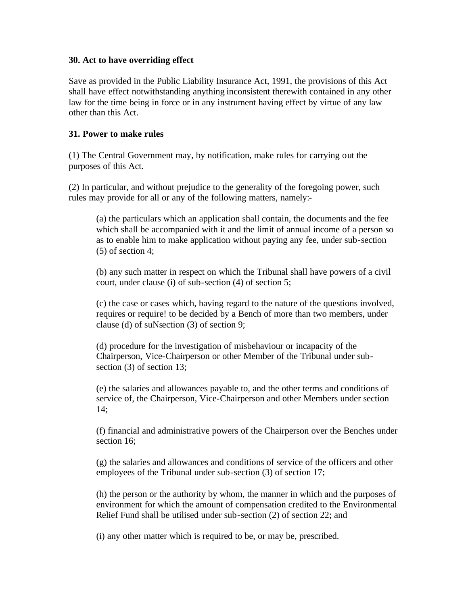#### **30. Act to have overriding effect**

Save as provided in the Public Liability Insurance Act, 1991, the provisions of this Act shall have effect notwithstanding anything inconsistent therewith contained in any other law for the time being in force or in any instrument having effect by virtue of any law other than this Act.

#### **31. Power to make rules**

(1) The Central Government may, by notification, make rules for carrying out the purposes of this Act.

(2) In particular, and without prejudice to the generality of the foregoing power, such rules may provide for all or any of the following matters, namely:-

(a) the particulars which an application shall contain, the documents and the fee which shall be accompanied with it and the limit of annual income of a person so as to enable him to make application without paying any fee, under sub-section (5) of section 4;

(b) any such matter in respect on which the Tribunal shall have powers of a civil court, under clause (i) of sub-section (4) of section 5;

(c) the case or cases which, having regard to the nature of the questions involved, requires or require! to be decided by a Bench of more than two members, under clause (d) of suNsection (3) of section 9;

(d) procedure for the investigation of misbehaviour or incapacity of the Chairperson, Vice-Chairperson or other Member of the Tribunal under subsection (3) of section 13;

(e) the salaries and allowances payable to, and the other terms and conditions of service of, the Chairperson, Vice-Chairperson and other Members under section 14;

(f) financial and administrative powers of the Chairperson over the Benches under section 16;

(g) the salaries and allowances and conditions of service of the officers and other employees of the Tribunal under sub-section (3) of section 17;

(h) the person or the authority by whom, the manner in which and the purposes of environment for which the amount of compensation credited to the Environmental Relief Fund shall be utilised under sub-section (2) of section 22; and

(i) any other matter which is required to be, or may be, prescribed.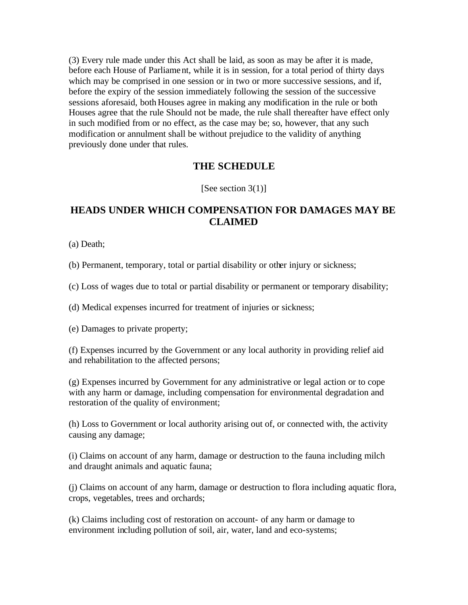(3) Every rule made under this Act shall be laid, as soon as may be after it is made, before each House of Parliament, while it is in session, for a total period of thirty days which may be comprised in one session or in two or more successive sessions, and if, before the expiry of the session immediately following the session of the successive sessions aforesaid, both Houses agree in making any modification in the rule or both Houses agree that the rule Should not be made, the rule shall thereafter have effect only in such modified from or no effect, as the case may be; so, however, that any such modification or annulment shall be without prejudice to the validity of anything previously done under that rules.

#### **THE SCHEDULE**

[See section  $3(1)$ ]

# **HEADS UNDER WHICH COMPENSATION FOR DAMAGES MAY BE CLAIMED**

(a) Death;

(b) Permanent, temporary, total or partial disability or other injury or sickness;

(c) Loss of wages due to total or partial disability or permanent or temporary disability;

(d) Medical expenses incurred for treatment of injuries or sickness;

(e) Damages to private property;

(f) Expenses incurred by the Government or any local authority in providing relief aid and rehabilitation to the affected persons;

(g) Expenses incurred by Government for any administrative or legal action or to cope with any harm or damage, including compensation for environmental degradation and restoration of the quality of environment;

(h) Loss to Government or local authority arising out of, or connected with, the activity causing any damage;

(i) Claims on account of any harm, damage or destruction to the fauna including milch and draught animals and aquatic fauna;

(j) Claims on account of any harm, damage or destruction to flora including aquatic flora, crops, vegetables, trees and orchards;

(k) Claims including cost of restoration on account- of any harm or damage to environment including pollution of soil, air, water, land and eco-systems;